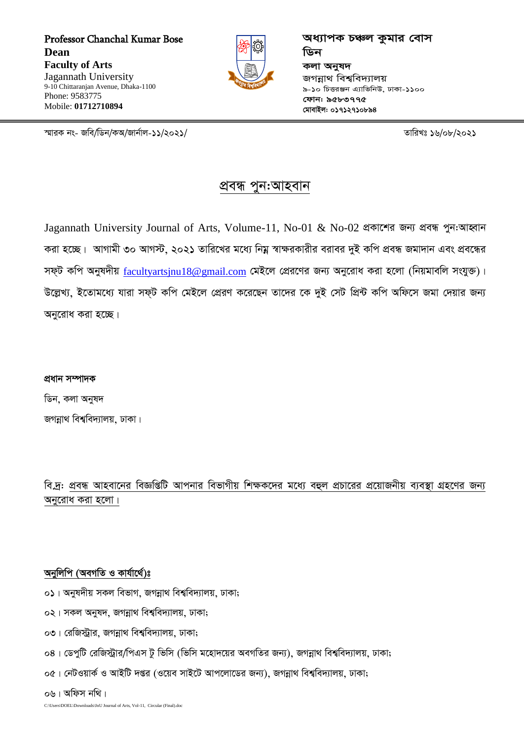Professor Chanchal Kumar Bose **Dean Faculty of Arts** Jagannath University 9-10 Chittaranian Avenue, Dhaka-1100 Phone: 9583775 Mobile: 01712710894



অধ্যাপক চঞ্চল কুমার বোস ডিন কলা অনুষদ জগন্নাথ বিশ্ববিদ্যালয় ৯-১০ চিত্তরঞ্জন এ্যাভিনিউ. ঢাকা-১১০০ ফোন: ৯৫৮৩৭৭৫ মোবাইল: ০১৭১২৭১০৮৯৪

স্মারক নং- জবি/ডিন/কঅ/জার্নাল-১১/২০২১/

তারিখঃ ১৬/০৮/২০২১

## প্ৰবন্ধ পুন:আহবান

Jagannath University Journal of Arts, Volume-11, No-01 & No-02 প্ৰকাশের জন্য প্ৰবন্ধ পুন:আহ্বান করা হচ্ছে। আগামী ৩০ আগস্ট, ২০২১ তারিখের মধ্যে নিয়ু স্বাক্ষরকারীর বরাবর দুই কপি প্রবন্ধ জমাদান এবং প্রবন্ধের সফ্ট কপি অনুষদীয়  $\frac{\text{facultyartsinu18@gmail.com}}{\text{gmal.com}}$  মেইলে প্রেরণের জন্য অনুরোধ করা হলো (নিয়মাবলি সংযুক্ত)। উল্লেখ্য, ইতোমধ্যে যারা সফ্ট কপি মেইলে প্রেরণ করেছেন তাদের কে দুই সেট প্রিন্ট কপি অফিসে জমা দেয়ার জন্য অনুরোধ করা হচ্ছে।

প্ৰধান সম্পাদক ডিন, কলা অনুষদ জগন্নাথ বিশ্ববিদ্যালয়, ঢাকা।

বি.দ: প্রবন্ধ আহবানের বিজ্ঞপ্তিটি আপনার বিভাগীয় শিক্ষকদের মধ্যে বহুল প্রচারের প্রয়োজনীয় ব্যবস্থা গ্রহণের জন্য অনুরোধ করা হলো।

### অনুলিপি (অবগতি ও কাৰ্যাৰ্থে)ঃ

- ০১। অনুষদীয় সকল বিভাগ, জগন্নাথ বিশ্ববিদ্যালয়, ঢাকা;
- ০২। সকল অনুষদ, জগন্নাথ বিশ্ববিদ্যালয়, ঢাকা;
- ০৩। রেজিস্ট্রার, জগন্নাথ বিশ্ববিদ্যালয়, ঢাকা;
- ০৪। ডেপুটি রেজিস্ট্রার/পিএস টু ভিসি (ভিসি মহোদয়ের অবগতির জন্য), জগন্নাথ বিশ্ববিদ্যালয়, ঢাকা;
- ০৫। নেটওয়ার্ক ও আইটি দপ্তর (ওয়েব সাইটে আপলোডের জন্য), জগন্নাথ বিশ্ববিদ্যালয়, ঢাকা;

০৬। অফিস নথি।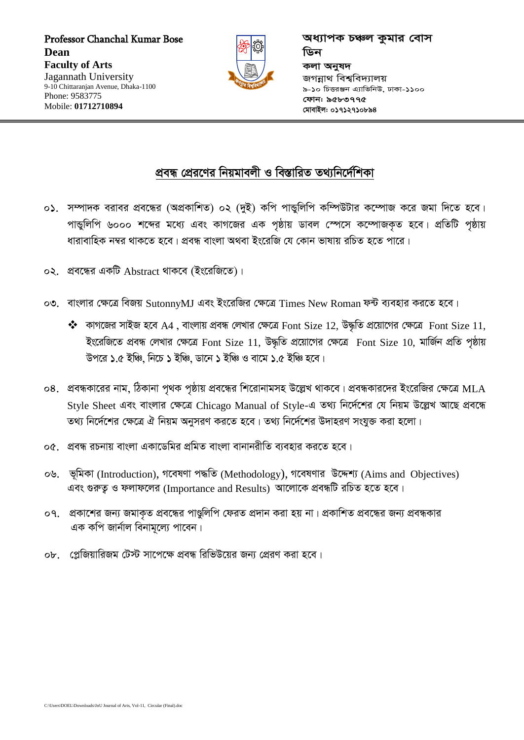Professor Chanchal Kumar Bose **Dean Faculty of Arts** Jagannath University 9-10 Chittaranjan Avenue, Dhaka-1100 Phone: 9583775 Mobile: 01712710894



অধ্যাপক চঞ্চল কুমার বোস ডিন কলা অনুষদ জগন্নাথ বিশ্ববিদ্যালয় ৯-১০ চিত্তরঞ্জন এ্যাভিনিউ, ঢাকা-১১০০ ফোন: ৯৫৮৩৭৭৫ মোবাইল: ০১৭১২৭১০৮৯৪

# প্রবন্ধ প্রেরণের নিয়মাবলী ও বিস্তারিত তথ্যনির্দেশিকা

- ০১. সম্পাদক বরাবর প্রবন্ধের (অপ্রকাশিত) ০২ (দুই) কপি পান্ডুলিপি কম্পিউটার কম্পোজ করে জমা দিতে হবে। পান্ডুলিপি ৬০০০ শব্দের মধ্যে এবং কাগজের এক পৃষ্ঠায় ডাবল স্পেসে কম্পোজকৃত হবে। প্রতিটি পৃষ্ঠায় ধারাবাহিক নম্বর থাকতে হবে। প্রবন্ধ বাংলা অথবা ইংরেজি যে কোন ভাষায় রচিত হতে পারে।
- ০২. প্রবন্ধের একটি Abstract থাকবে (ইংরেজিতে)।
- ০৩. বাংলার ক্ষেত্রে বিজয় SutonnyMJ এবং ইংরেজির ক্ষেত্রে Times New Roman ফন্ট ব্যবহার করতে হবে।
	- $\clubsuit$  কাগজের সাইজ হবে A4, বাংলায় প্রবন্ধ লেখার ক্ষেত্রে Font Size 12, উদ্ধৃতি প্রয়োগের ক্ষেত্রে Font Size 11, ইংরেজিতে প্রবন্ধ লেখার ক্ষেত্রে Font Size 11, উদ্ধৃতি প্রয়োগের ক্ষেত্রে Font Size 10, মার্জিন প্রতি পৃষ্ঠায় উপরে ১.৫ ইঞ্চি, নিচে ১ ইঞ্চি, ডানে ১ ইঞ্চি ও বামে ১.৫ ইঞ্চি হবে।
- ০৪. প্রবন্ধকারের নাম, ঠিকানা পৃথক পৃষ্ঠায় প্রবন্ধের শিরোনামসহ উল্লেখ থাকবে। প্রবন্ধকারদের ইংরেজির ক্ষেত্রে MLA Style Sheet এবং বাংলার ক্ষেত্রে Chicago Manual of Style-এ তথ্য নির্দেশের যে নিয়ম উল্লেখ আছে প্রবন্ধে তথ্য নির্দেশের ক্ষেত্রে ঐ নিয়ম অনুসরণ করতে হবে। তথ্য নির্দেশের উদাহরণ সংযুক্ত করা হলো।
- ০৫. প্রবন্ধ রচনায় বাংলা একাডেমির প্রমিত বাংলা বানানরীতি ব্যবহার করতে হবে।
- ০৬. ভূমিকা (Introduction), গবেষণা পদ্ধতি (Methodology), গবেষণার উদ্দেশ্য (Aims and Objectives) এবং গুরুত্ব ও ফলাফলের (Importance and Results) আলোকে প্রবন্ধটি রচিত হতে হবে।
- ০৭. প্রকাশের জন্য জমাকৃত প্রবন্ধের পাণ্ডুলিপি ফেরত প্রদান করা হয় না। প্রকাশিত প্রবন্ধের জন্য প্রবন্ধকার এক কপি জার্নাল বিনামূল্যে পাবেন।
- ০৮. এেজিয়ারিজম টেস্ট সাপেক্ষে প্রবন্ধ রিভিউয়ের জন্য প্রেরণ করা হবে।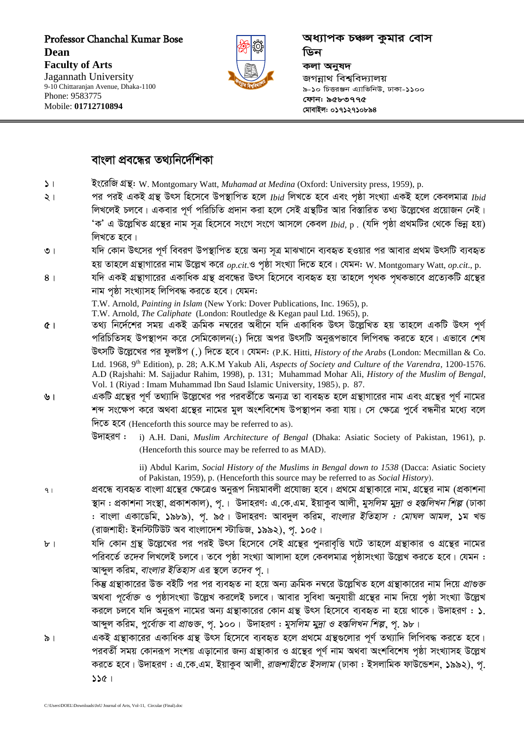Professor Chanchal Kumar Bose **Dean Faculty of Arts**  Jagannath University 9-10 Chittaranjan Avenue, Dhaka-1100 Phone: 9583775

Mobile: **01712710894**



*অধ্যাপক চঞ্চল কুমার বোস* <u>ডিন</u> *ক*লা অনুষদ *জ*গন্নাথ বিশ্ববিদ্যালয় *9-10 wPËiÄb G¨vwfwbD, XvKv-1100 †dvb: 9583775 †gvevBj: 01712710894*

### *বাংলা প্রবন্ধের তথ্যনির্দেশিকা*

- $\vert \cdot \vert$  **ব্**ষ্কেজি গ্রন্থ: W. Montgomary Watt, *Muhamad at Medina* (Oxford: University press, 1959), p.
- *2| ci ciB GKB MÖš' Drm wn‡m‡e Dc¯'vwcZ n‡j Ibid wjL‡Z n‡e Ges c"ôv msL¨v GKB n‡j †KejgvÎ Ibid লি*খলেই চলবে। একবার পূর্ণ পরিচিতি প্রদান করা হলে সেই গ্রন্থটির আর বিস্তারিত তথ্য উল্লেখের প্রয়োজন নেই। *ÔKÕ G D‡jøwLZ MÖ‡š'i bvg m~Î wn‡m‡e ms‡M ms‡M Avm‡j †Kej Ibid,* p *. (hw` c"ôv cÖ\_gwUi †\_‡K wfbœ nq) লিখ*তে *হ*বে।
- ৩। যদি কোন উৎসের পূর্ণ বিবরণ উপস্থাপিত হয়ে অন্য সূত্র মাঝখানে ব্যবহৃত হওয়ার পর আবার প্রথম উৎসটি ব্যবহৃত হয় তাহলে গ্রন্থাগারের নাম উল্লেখ করে  $_{op.cit.}$ ও পৃষ্ঠা সংখ্যা দিতে হবে। যেমন: W. Montgomary Watt, *op.cit.*, p.
- $8$ । যদি একই গ্রন্থাগারের একাধিক গ্রন্থ প্রবন্ধের উৎস হিসেবে ব্যবহৃত হয় তাহলে পথক পথকভাবে প্রত্যেকটি গ্রন্থের *নাম প*ষ্ঠা সংখ্যাসহ লিপিবদ্ধ করতে হবে। যেমন:

T.W. Arnold, *Painting in Islam* (New York: Dover Publications, Inc. 1965), p.

T.W. Arnold, *The Caliphate* (London: Routledge & Kegan paul Ltd. 1965), p.

- *5| Z\_¨ wb‡`©‡ki mgq GKB µwgK b¤^‡ii Aax‡b hw` GKvwaK Drm D‡jøwLZ nq Zvn‡j GKwU Drm c~Y©*  পরিচিতিসহ উপস্থাপন করে সেমিকোলন(;) দিয়ে অপর উৎসটি অনুরূপভাবে লিপিবদ্ধ করতে হবে। এভাবে শেষ *DrmwU D‡jø‡Li ci dzjóc (.) w`‡Z n‡e| †hgb: (*P.K. Hitti, *History of the Arabs* (London: Mecmillan & Co. Ltd. 1968, 9th Edition), p. 28; A.K.M Yakub Ali, *Aspects of Society and Culture of the Varendra*, 1200-1576. A.D (Rajshahi: M. Sajjadur Rahim, 1998), p. 131; Muhammad Mohar Ali, *History of the Muslim of Bengal*, Vol. 1 (Riyad : Imam Muhammad Ibn Saud Islamic University, 1985*),* p. 87*.*
- ়**৬। একটি গ্রন্থের পূর্ণ তথ্যাদি উল্লেখের পর পরবর্তীতে অন্যত্র তা ব্যবহৃত হলে গ্রন্থারের নাম এবং গ্রন্থের পূর্ণ নামের** শব্দ সংক্ষেপ করে অথবা গ্রন্থের নামের মূল অংশবিশেষ উপস্থাপন করা যায়। সে ক্ষেত্রে পূর্বে বন্ধনীর মধ্যে বলে *দিতে হবে* (Henceforth this source may be referred to as).
	- *D`vniY :* i) A.H. Dani, *Muslim Architecture of Bengal* (Dhaka: Asiatic Society of Pakistan, 1961), p. *(*Henceforth this source may be referred to as MAD*).*

ii) Abdul Karim, *Social History of the Muslims in Bengal down to 1538* (Dacca: Asiatic Society of Pakistan, 1959), p. *(*Henceforth this source may be referred to as *Social History).*

- ়<sub>।</sub> প্রবন্ধে ব্যবহৃত বাংলা গ্রন্থের ক্ষেত্রেও অনুরূপ নিয়মাবলী প্রযোজ্য হবে। প্রথমে গ্রন্থার নাম, গ্রন্থের নাম (প্রকাশনা 'স্থান : প্রকাশনা সংস্থা, প্রকাশকাল), পূ.। উদাহরণ: এ.কে.এম. ইয়াকুব আলী, *মুসলিম মুদ্রা ও হস্তলিখন শিল্প* (ঢাকা : বাংলা একাডেমি, ১৯৮৯), পূ. ৯৫। উদাহরণ: আবদুল করিম, *বাংলার ইতিহাস : মোঘল আমল*, ১ম খন্ড *(*রাজশাহী: ইনস্টিটিউট অব বাংলাদেশ স্টাডিজ, ১৯৯২), পূ. ১০৫।
- *b । যদি কোন গ্রন্থ উল্লেখের পর পরই উৎস হিসেবে সেই গ্রন্থের পুনরাবৃত্তি ঘটে তাহলে গ্রন্থাকার ও গ্রন্থের নামের*  $\gamma$ রিবর্তে *তদেব* লিখলেই চলবে। তবে পৃষ্ঠা সংখ্যা আলাদা হলে কেবলমাত্র পৃষ্ঠাসংখ্যা উল্লেখ করতে হবে। যেমন : *আব্দুল করিম, বাংলার ইতিহাস এর স্থলে তদেব প.।*

*কি*ষ্ক গ্রন্থাকারের উক্ত বইটি পর পর ব্যবহৃত না হয়ে অন্য ক্রমিক নম্বরে উল্লেখিত হলে গ্রন্থাকারের নাম দিয়ে *প্রাগুক্ত* অথবা *পূর্বোক্ত* ও পৃষ্ঠাসংখ্যা উল্লেখ করলেই চলবে। আবার সুবিধা অনুযায়ী গ্রন্থের নাম দিয়ে পৃষ্ঠা সংখ্যা উল্লেখ করলে চলবে যদি অনুরূপ নামের অন্য গ্রন্থাকারের কোন গ্রন্থ উৎস হিসেবে ব্যবহৃত না হয়ে থাকে। উদাহরণ : ১. *আব্*দুল করিম, *পুর্বোক্ত বা প্রাগুক্ত*, পূ. ১০০। উদাহরণ : *মুসলিম মুদ্রা ও হস্তলিখন শিল্প,* পূ. ৯৮।

৯। একই গ্রন্থাকারের একাধিক গ্রন্থ উৎস হিসেবে ব্যবহৃত হলে প্রথমে গ্রন্থগুলোর পূর্ণ তথ্যাদি লিপিবদ্ধ করতে হবে। পরবর্তী সময় কোনরূপ সংশয় এড়ানোর জন্য গ্রন্থাকার ও গ্রন্থের পূর্ণ নাম অথবা অংশবিশেষ পৃষ্ঠা সংখ্যাসহ উল্লেখ *করতে হবে*। উদাহরণ : এ.কে.এম. ইয়াকুব আলী, *রাজশাহীতে ইসলাম (ঢা*কা : ইসলামিক ফাউন্ডেশন, ১৯৯২), পূ. *115|*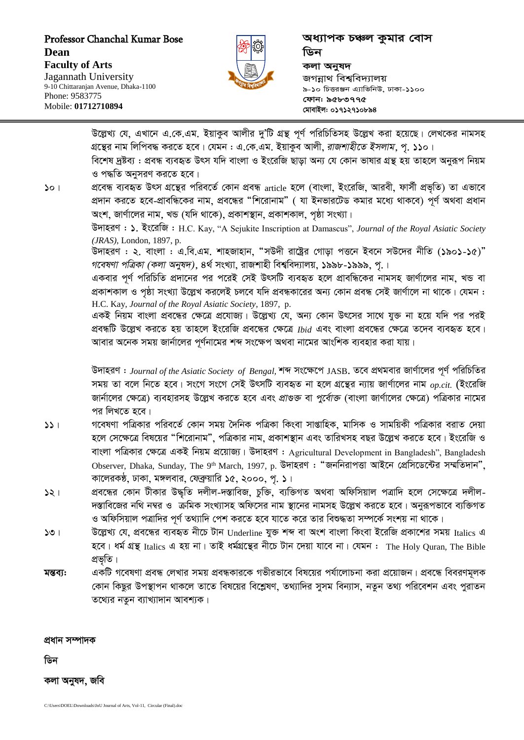Professor Chanchal Kumar Bose Dean **Faculty of Arts** Jagannath University 9-10 Chittaranian Avenue, Dhaka-1100 Phone: 9583775

Mobile: 01712710894



অধ্যাপক চঞ্চল কুমার বোস ডিন কলা অনুষদ জগন্নাথ বিশ্ববিদ্যালয় ৯-১০ চিত্তরঞ্জন এ্যাভিনিউ, ঢাকা-১১০০ ফোন: ৯৫৮৩৭৭৫ মোবাইল: ০১৭১২৭১০৮৯৪

উল্লেখ্য যে, এখানে এ.কে.এম. ইয়াকুব আলীর দু'টি গ্রন্থ পর্ণ পরিচিতিসহ উল্লেখ করা হয়েছে। লেখকের নামসহ গ্রন্থের নাম লিপিবদ্ধ করতে হবে। যেমন : এ.কে.এম. ইয়াকুব আলী, *রাজশাহীতে ইসলাম*, প. ১১০। বিশেষ দ্রষ্টব্য : প্রবন্ধ ব্যবহৃত উৎস যদি বাংলা ও ইংরেজি ছাডা অন্য যে কোন ভাষার গ্রন্থ হয় তাহলে অনুরূপ নিয়ম ও পদ্ধতি অনুসরণ করতে হবে। প্রবেন্ধ ব্যবহৃত উৎস গ্রন্থের পরিবর্তে কোন প্রবন্ধ <sub>article</sub> হলে (বাংলা, ইংরেজি, আরবী, ফার্সী প্রভৃতি) তা এভাবে  $50<sub>1</sub>$ প্রদান করতে হবে-প্রাবন্ধিকের নাম, প্রবন্ধের "শিরোনাম" ( যা ইনভারটেড কমার মধ্যে থাকবে) পূর্ণ অথবা প্রধান অংশ, জার্ণালের নাম, খন্ড (যদি থাকে), প্রকাশস্থান, প্রকাশকাল, পৃষ্ঠা সংখ্যা। উদাহরণ: ১. ইংরেজি: H.C. Kay, "A Sejukite Inscription at Damascus", Journal of the Royal Asiatic Society (JRAS), London, 1897, p. উদাহরণ : ২. বাংলা : এ.বি.এম. শাহজাহান, "সউদী রাষ্ট্রের গোড়া পত্তনে ইবনে সউদের নীতি (১৯০১-১৫)" গবেষণা পত্ৰিকা (কলা অনুষদ), ৪ৰ্থ সংখ্যা, রাজশাহী বিশ্ববিদ্যালয়, ১৯৯৮-১৯৯৯, পূ.। একবার পূর্ণ পরিচিতি প্রদানের পর পরেই সেই উৎসটি ব্যবহৃত হলে প্রাবন্ধিকের নামসহ জার্ণালের নাম, খন্ড বা প্রকাশকাল ও পৃষ্ঠা সংখ্যা উল্লেখ করলেই চলবে যদি প্রবন্ধকারের অন্য কোন প্রবন্ধ সেই জার্ণালে না থাকে। যেমন : H.C. Kay, Journal of the Royal Asiatic Society, 1897, p. একই নিয়ম বাংলা প্রবন্ধের ক্ষেত্রে প্রযোজ্য। উল্লেখ্য যে, অন্য কোন উৎসের সাথে যুক্ত না হয়ে যদি পর পরই প্রবন্ধটি উল্লেখ করতে হয় তাহলে ইংরেজি প্রবন্ধের ক্ষেত্রে  $\mathit{Ibid}$  এবং বাংলা প্রবন্ধের ক্ষেত্রে তদেব ব্যবহৃত হবে। আবার অনেক সময় জার্নালের পর্ণনামের শব্দ সংক্ষেপ অথবা নামের আংশিক ব্যবহার করা যায়। উদাহরণ : Journal of the Asiatic Society of Bengal, শব্দ সংক্ষেপে JASB. তবে প্রথমবার জার্ণালের পূর্ণ পরিচিতির সময় তা বলে নিতে হবে। সংগে সংগে সেই উৎসটি ব্যবহৃত না হলে গ্রন্থের ন্যায় জার্ণালের নাম  $_{op.cit.}$  (ইংরেজি জার্নালের ক্ষেত্রে) ব্যবহারসহ উল্লেখ করতে হবে এবং প্রাণ্ডক্ত বা *পুর্বোক্ত* (বাংলা জার্ণালের ক্ষেত্রে) পত্রিকার নামের পর লিখতে হবে। গবেষণা পত্রিকার পরিবর্তে কোন সময় দৈনিক পত্রিকা কিংবা সাগ্তাহিক, মাসিক ও সাময়িকী পত্রিকার বরাত দেয়া  $551$ হলে সেক্ষেত্রে বিষয়ের "শিরোনাম", পত্রিকার নাম, প্রকাশস্থান এবং তারিখসহ বছর উল্লেখ করতে হবে। ইংরেজি ও বাংলা পত্রিকার ক্ষেত্রে একই নিয়ম প্রয়োজ্য। উদাহরণ: Agricultural Development in Bangladesh", Bangladesh Observer, Dhaka, Sunday, The 9th March, 1997, p. উদাহরণ: "জননিরাপত্তা আইনে প্রেসিডেন্টের সম্মতিদান". কালেরকন্ঠ, ঢাকা, মঙ্গলবার, ফেব্রুয়ারি ১৫, ২০০০, পূ. ১। প্ৰবন্ধের কোন টীকার উদ্ধতি দলীল-দস্তাবিজ, চুক্তি, ব্যক্তিগত অথবা অফিসিয়াল পত্রাদি হলে সেক্ষেত্রে দলীল- $521$ দস্তাবিজের নথি নম্বর ও ক্রমিক সংখ্যাসহ অফিসের নাম স্থানের নামসহ উল্লেখ করতে হবে। অনুরূপভাবে ব্যক্তিগত ও অফিসিয়াল পত্রাদির পূর্ণ তথ্যাদি পেশ করতে হবে যাতে করে তার বিশুদ্ধতা সম্পর্কে সংশয় না থাকে।

- উল্লেখ্য যে, প্রবন্ধের ব্যবহৃত নীচে টান Underline যুক্ত শব্দ বা অংশ বাংলা কিংবা ইরেজি প্রকাশের সময় Italics এ  $501$ হবে। ধর্ম গ্রন্থ Italics এ হয় না। তাই ধর্মগ্রন্থের নীচে টান দেয়া যাবে না। যেমন : The Holy Ouran, The Bible প্ৰভৃতি।
- একটি গবেষণা প্রবন্ধ লেখার সময় প্রবন্ধকারকে গভীরভাবে বিষয়ের পর্যালোচনা করা প্রয়োজন। প্রবন্ধে বিবরণমূলক মন্তব্য: কোন কিছুর উপস্থাপন থাকলে তাতে বিষয়ের বিশ্লেষণ, তথ্যাদির সুসম বিন্যাস, নতুন তথ্য পরিবেশন এবং পুরাতন তথ্যের নতুন ব্যাখ্যাদান আবশ্যক।

প্ৰধান সম্পাদক

ডিন

কলা অনুষদ, জবি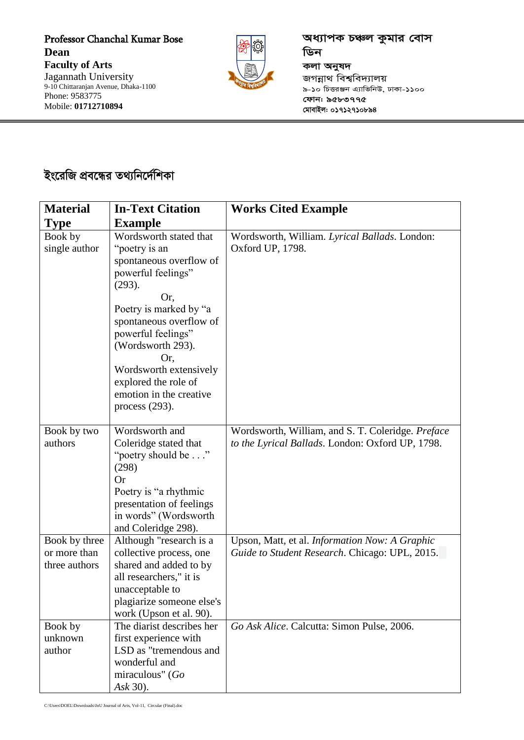Professor Chanchal Kumar Bose **Dean Faculty of Arts**  Jagannath University 9-10 Chittaranjan Avenue, Dhaka-1100 Phone: 9583775 Mobile: **01712710894**



*প্ৰধ্যাপক চঞ্চল কুমার বোস* ডিন **কলা** অনুষদ *জ*গন্নাথ বিশ্ববিদ্যালয় *9-10 wPËiÄb G¨vwfwbD, XvKv-1100 †dvb: 9583775 †gvevBj: 01712710894*

# *ইং*রেজি প্রবন্ধের তথ্যনির্দেশিকা

| <b>Material</b>                                | <b>In-Text Citation</b>                                                                                                                                                                                                                                                                                            | <b>Works Cited Example</b>                                                                            |
|------------------------------------------------|--------------------------------------------------------------------------------------------------------------------------------------------------------------------------------------------------------------------------------------------------------------------------------------------------------------------|-------------------------------------------------------------------------------------------------------|
| <b>Type</b>                                    | <b>Example</b>                                                                                                                                                                                                                                                                                                     |                                                                                                       |
| Book by<br>single author                       | Wordsworth stated that<br>"poetry is an<br>spontaneous overflow of<br>powerful feelings"<br>(293).<br>Or,<br>Poetry is marked by "a<br>spontaneous overflow of<br>powerful feelings"<br>(Wordsworth 293).<br>Or,<br>Wordsworth extensively<br>explored the role of<br>emotion in the creative<br>process $(293)$ . | Wordsworth, William. Lyrical Ballads. London:<br>Oxford UP, 1798.                                     |
| Book by two<br>authors                         | Wordsworth and<br>Coleridge stated that<br>"poetry should be"<br>(298)<br><b>Or</b><br>Poetry is "a rhythmic<br>presentation of feelings<br>in words" (Wordsworth<br>and Coleridge 298).                                                                                                                           | Wordsworth, William, and S. T. Coleridge. Preface<br>to the Lyrical Ballads. London: Oxford UP, 1798. |
| Book by three<br>or more than<br>three authors | Although "research is a<br>collective process, one<br>shared and added to by<br>all researchers," it is<br>unacceptable to<br>plagiarize someone else's<br>work (Upson et al. 90).                                                                                                                                 | Upson, Matt, et al. Information Now: A Graphic<br>Guide to Student Research. Chicago: UPL, 2015.      |
| Book by<br>unknown<br>author                   | The diarist describes her<br>first experience with<br>LSD as "tremendous and<br>wonderful and<br>miraculous" (Go<br>Ask 30).                                                                                                                                                                                       | Go Ask Alice. Calcutta: Simon Pulse, 2006.                                                            |

C:\Users\DOEL\Downloads\JnU Journal of Arts, Vol-11, Circular (Final).doc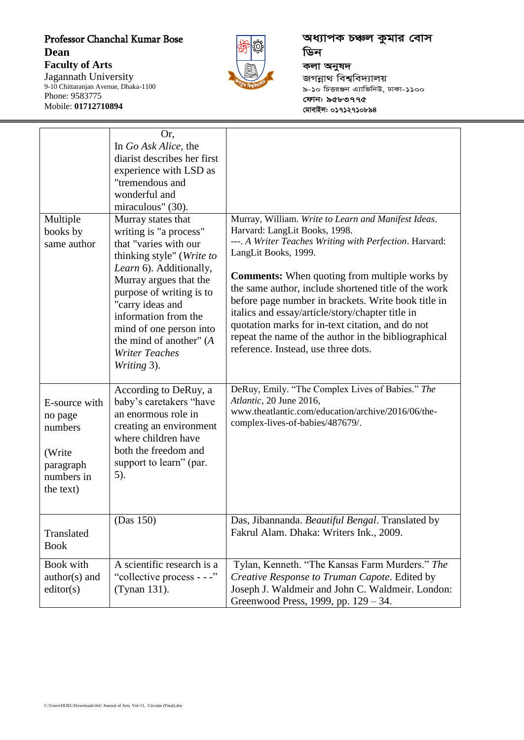### Professor Chanchal Kumar Bose **Dean Faculty of Arts**

Jagannath University 9-10 Chittaranjan Avenue, Dhaka-1100

Phone: 9583775 Mobile: **01712710894**

*প্ৰধ্যাপক চঞ্চল কু*মার বোস ডিন **কলা** অনুষদ *জ*গন্নাথ বিশ্ববিদ্যালয় *9-10 wPËiÄb G¨vwfwbD, XvKv-1100 †dvb: 9583775 †gvevBj: 01712710894*

| Multiple<br>books by<br>same author                                                   | Or,<br>In Go Ask Alice, the<br>diarist describes her first<br>experience with LSD as<br>"tremendous and<br>wonderful and<br>miraculous" (30).<br>Murray states that<br>writing is "a process"<br>that "varies with our<br>thinking style" (Write to<br>Learn 6). Additionally,<br>Murray argues that the<br>purpose of writing is to<br>"carry ideas and<br>information from the<br>mind of one person into<br>the mind of another" (A<br><b>Writer Teaches</b><br>Writing 3). | Murray, William. Write to Learn and Manifest Ideas.<br>Harvard: LangLit Books, 1998.<br>---. A Writer Teaches Writing with Perfection. Harvard:<br>LangLit Books, 1999.<br><b>Comments:</b> When quoting from multiple works by<br>the same author, include shortened title of the work<br>before page number in brackets. Write book title in<br>italics and essay/article/story/chapter title in<br>quotation marks for in-text citation, and do not<br>repeat the name of the author in the bibliographical<br>reference. Instead, use three dots. |
|---------------------------------------------------------------------------------------|--------------------------------------------------------------------------------------------------------------------------------------------------------------------------------------------------------------------------------------------------------------------------------------------------------------------------------------------------------------------------------------------------------------------------------------------------------------------------------|-------------------------------------------------------------------------------------------------------------------------------------------------------------------------------------------------------------------------------------------------------------------------------------------------------------------------------------------------------------------------------------------------------------------------------------------------------------------------------------------------------------------------------------------------------|
| E-source with<br>no page<br>numbers<br>(Write<br>paragraph<br>numbers in<br>the text) | According to DeRuy, a<br>baby's caretakers "have<br>an enormous role in<br>creating an environment<br>where children have<br>both the freedom and<br>support to learn" (par.<br>5).                                                                                                                                                                                                                                                                                            | DeRuy, Emily. "The Complex Lives of Babies." The<br>Atlantic, 20 June 2016,<br>www.theatlantic.com/education/archive/2016/06/the-<br>complex-lives-of-babies/487679/.                                                                                                                                                                                                                                                                                                                                                                                 |
| Translated<br><b>Book</b>                                                             | (Das 150)                                                                                                                                                                                                                                                                                                                                                                                                                                                                      | Das, Jibannanda. Beautiful Bengal. Translated by<br>Fakrul Alam. Dhaka: Writers Ink., 2009.                                                                                                                                                                                                                                                                                                                                                                                                                                                           |
| Book with<br>author(s) and<br>editor(s)                                               | A scientific research is a<br>"collective process - - -"<br>(Tynan 131).                                                                                                                                                                                                                                                                                                                                                                                                       | Tylan, Kenneth. "The Kansas Farm Murders." The<br>Creative Response to Truman Capote. Edited by<br>Joseph J. Waldmeir and John C. Waldmeir. London:<br>Greenwood Press, 1999, pp. 129 – 34.                                                                                                                                                                                                                                                                                                                                                           |